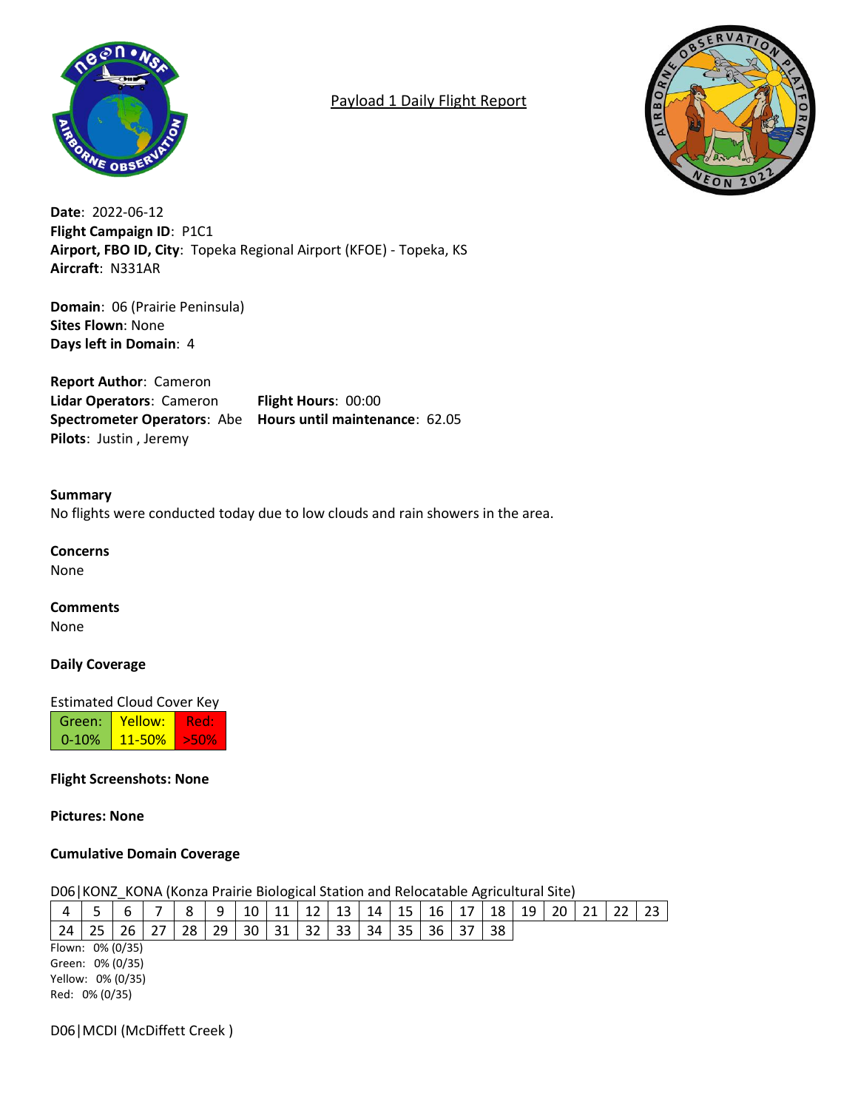

# Payload 1 Daily Flight Report



**Date**: 2022-06-12 **Flight Campaign ID**: P1C1 **Airport, FBO ID, City**: Topeka Regional Airport (KFOE) - Topeka, KS **Aircraft**: N331AR

**Domain**: 06 (Prairie Peninsula) **Sites Flown**: None **Days left in Domain**: 4

**Report Author**: Cameron **Lidar Operators**: Cameron **Flight Hours**: 00:00 **Spectrometer Operators**: Abe **Hours until maintenance**: 62.05 **Pilots**: Justin , Jeremy

### **Summary**

No flights were conducted today due to low clouds and rain showers in the area.

#### **Concerns**

None

#### **Comments**

None

#### **Daily Coverage**

Estimated Cloud Cover Key

| Green: I   | Yellow:         | 4euz |
|------------|-----------------|------|
| $0 - 10\%$ | <u>l 11-50%</u> | 250% |

## **Flight Screenshots: None**

**Pictures: None**

#### **Cumulative Domain Coverage**

#### D06|KONZ\_KONA (Konza Prairie Biological Station and Relocatable Agricultural Site)

| 4                 |    |    |  |    | 9  | 10 | 11 | 12 | 13 | 14 | 15 | 16 | 17 | 18 | 19 |  |  | -23 |
|-------------------|----|----|--|----|----|----|----|----|----|----|----|----|----|----|----|--|--|-----|
| 24                | 25 | 26 |  | 28 | 29 | 30 | 31 | 32 | 33 | 34 | 35 | 36 |    | 38 |    |  |  |     |
| Flown: 0% (0/35)  |    |    |  |    |    |    |    |    |    |    |    |    |    |    |    |  |  |     |
| Green: 0% (0/35)  |    |    |  |    |    |    |    |    |    |    |    |    |    |    |    |  |  |     |
| Yellow: 0% (0/35) |    |    |  |    |    |    |    |    |    |    |    |    |    |    |    |  |  |     |
| Red: 0% (0/35)    |    |    |  |    |    |    |    |    |    |    |    |    |    |    |    |  |  |     |

D06|MCDI (McDiffett Creek )